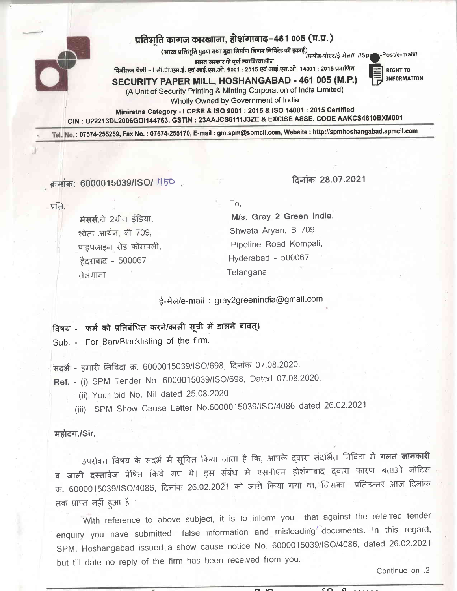## प्रतिभति कागज कारखाना, होशंगाबाद-461 005 (म.प्र.)

.<br>(आरत प्रतिभूति मुद्रण तथा मुद्रा निर्माण निगम लिमिटेड की इकाई) ।/स्पीड-पोस्ट/ई-मेल// //Speed-Post/e-mail//

भारत सरकार के पूर्ण स्वामित्वाधीन मिनीरत्न श्रेणी – । सी.पी.एस.ई. एवं आई.एस.ओ. 9001 : 2015 एवं आई.एस.ओ. 14001 : 2015 प्रमाणित

**RIGHT TO** 

SECURITY PAPER MILL, HOSHANGABAD - 461 005 (M.P.)

**INFORMATION** 

(A Unit of Security Printing & Minting Corporation of India Limited)

Wholly Owned by Government of India

Miniratna Category - I CPSE & ISO 9001 : 2015 & ISO 14001 : 2015 Certified CIN: U22213DL2006GOI144763, GSTIN: 23AAJCS6111J3ZE & EXCISE ASSE. CODE AAKCS4610BXM001

Tel. No.: 07574-255259, Fax No.: 07574-255170, E-mail: gm.spm@spmcil.com, Website: http://spmhoshangabad.spmcil.com

क्रमांक: 6000015039/ISO/ 1150,

दिनांक 28.07.2021

प्रति.

मेसर्स.ग्रे 2ग्रीन इंडिया, श्वेता आर्यन, बी 709, पाइपलाइन रोड कोमपली, हैदराबाद - 500067 तेलंगाना

To.

M/s. Gray 2 Green India, Shweta Aryan, B 709, Pipeline Road Kompali, Hyderabad - 500067 Telangana

ई-मेल/e-mail: gray2greenindia@gmail.com

## विषय - फर्म को प्रतिबंधित करने/काली सूची में डालने बावत्।

Sub. - For Ban/Blacklisting of the firm.

संदर्भ - हमारी निविदा क्र. 6000015039/ISO/698, दिनांक 07.08.2020.

Ref. - (i) SPM Tender No. 6000015039/ISO/698, Dated 07.08.2020.

(ii) Your bid No. Nil dated 25.08.2020

(iii) SPM Show Cause Letter No.6000015039/ISO/4086 dated 26.02.2021

महोदय,/Sir,

उपरोक्त विषय के संदर्भ में सूचित किया जाता है कि, आपके द्वारा संदर्भित निविदा में **गलत जानकारी व जाली दस्तावेज** प्रेषित किये गए थे। इस संबंध में एसपीएम होशंगाबाद दवारा कारण बताओ नोटिस क्र. 6000015039/ISO/4086, दिनांक 26.02.2021 को जारी किया गया था, जिसका प्रतिउत्तर आज दिनांक तक प्राप्त नहीं हुआ है ।

With reference to above subject, it is to inform you that against the referred tender enquiry you have submitted false information and misleading documents. In this regard, SPM, Hoshangabad issued a show cause notice No. 6000015039/ISO/4086, dated 26.02.2021 but till date no reply of the firm has been received from you.

Continue on .2.